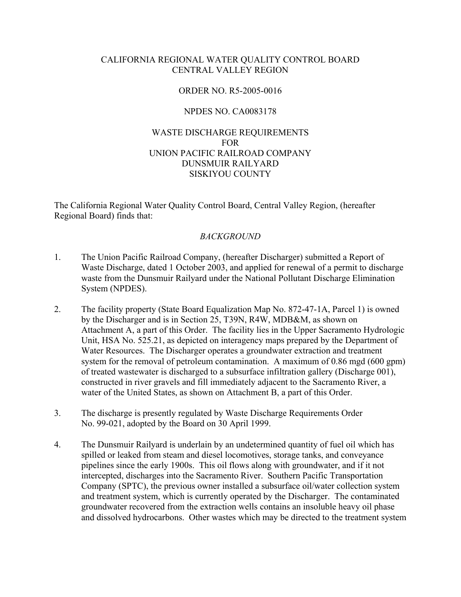## CALIFORNIA REGIONAL WATER QUALITY CONTROL BOARD CENTRAL VALLEY REGION

## ORDER NO. R5-2005-0016

#### NPDES NO. CA0083178

## WASTE DISCHARGE REQUIREMENTS FOR UNION PACIFIC RAILROAD COMPANY DUNSMUIR RAILYARD SISKIYOU COUNTY

The California Regional Water Quality Control Board, Central Valley Region, (hereafter Regional Board) finds that:

#### *BACKGROUND*

- 1. The Union Pacific Railroad Company, (hereafter Discharger) submitted a Report of Waste Discharge, dated 1 October 2003, and applied for renewal of a permit to discharge waste from the Dunsmuir Railyard under the National Pollutant Discharge Elimination System (NPDES).
- 2. The facility property (State Board Equalization Map No. 872-47-1A, Parcel 1) is owned by the Discharger and is in Section 25, T39N, R4W, MDB&M, as shown on Attachment A, a part of this Order. The facility lies in the Upper Sacramento Hydrologic Unit, HSA No. 525.21, as depicted on interagency maps prepared by the Department of Water Resources. The Discharger operates a groundwater extraction and treatment system for the removal of petroleum contamination. A maximum of 0.86 mgd (600 gpm) of treated wastewater is discharged to a subsurface infiltration gallery (Discharge 001), constructed in river gravels and fill immediately adjacent to the Sacramento River, a water of the United States, as shown on Attachment B, a part of this Order.
- 3. The discharge is presently regulated by Waste Discharge Requirements Order No. 99-021, adopted by the Board on 30 April 1999.
- 4. The Dunsmuir Railyard is underlain by an undetermined quantity of fuel oil which has spilled or leaked from steam and diesel locomotives, storage tanks, and conveyance pipelines since the early 1900s. This oil flows along with groundwater, and if it not intercepted, discharges into the Sacramento River. Southern Pacific Transportation Company (SPTC), the previous owner installed a subsurface oil/water collection system and treatment system, which is currently operated by the Discharger. The contaminated groundwater recovered from the extraction wells contains an insoluble heavy oil phase and dissolved hydrocarbons. Other wastes which may be directed to the treatment system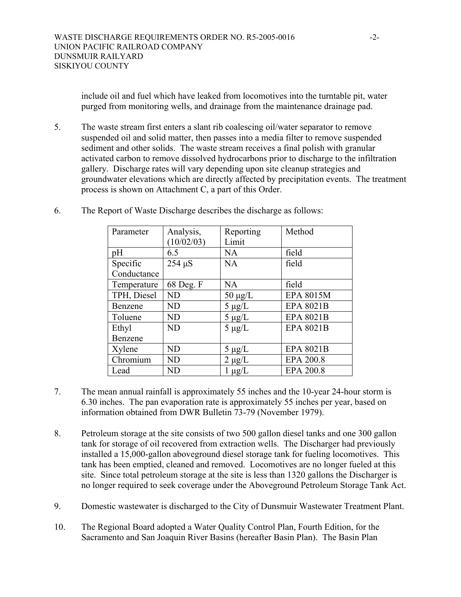include oil and fuel which have leaked from locomotives into the turntable pit, water purged from monitoring wells, and drainage from the maintenance drainage pad.

5. The waste stream first enters a slant rib coalescing oil/water separator to remove suspended oil and solid matter, then passes into a media filter to remove suspended sediment and other solids. The waste stream receives a final polish with granular activated carbon to remove dissolved hydrocarbons prior to discharge to the infiltration gallery. Discharge rates will vary depending upon site cleanup strategies and groundwater elevations which are directly affected by precipitation events. The treatment process is shown on Attachment C, a part of this Order.

| Parameter   | Analysis,<br>(10/02/03) | Reporting<br>Limit | Method           |
|-------------|-------------------------|--------------------|------------------|
| pH          | 6.5                     | NA                 | field            |
| Specific    | $254 \mu S$             | <b>NA</b>          | field            |
| Conductance |                         |                    |                  |
| Temperature | 68 Deg. F               | <b>NA</b>          | field            |
| TPH, Diesel | <b>ND</b>               | $50 \mu g/L$       | <b>EPA 8015M</b> |
| Benzene     | <b>ND</b>               | $5 \mu g/L$        | <b>EPA 8021B</b> |
| Toluene     | <b>ND</b>               | $5 \mu g/L$        | <b>EPA 8021B</b> |
| Ethyl       | <b>ND</b>               | $5 \mu g/L$        | <b>EPA 8021B</b> |
| Benzene     |                         |                    |                  |
| Xylene      | <b>ND</b>               | $5 \mu g/L$        | <b>EPA 8021B</b> |
| Chromium    | ND                      | $2 \mu g/L$        | EPA 200.8        |
| Lead        | ND                      | $1 \mu g/L$        | <b>EPA 200.8</b> |

6. The Report of Waste Discharge describes the discharge as follows:

- 7. The mean annual rainfall is approximately 55 inches and the 10-year 24-hour storm is 6.30 inches. The pan evaporation rate is approximately 55 inches per year, based on information obtained from DWR Bulletin 73-79 (November 1979).
- 8. Petroleum storage at the site consists of two 500 gallon diesel tanks and one 300 gallon tank for storage of oil recovered from extraction wells. The Discharger had previously installed a 15,000-gallon aboveground diesel storage tank for fueling locomotives. This tank has been emptied, cleaned and removed. Locomotives are no longer fueled at this site. Since total petroleum storage at the site is less than 1320 gallons the Discharger is no longer required to seek coverage under the Aboveground Petroleum Storage Tank Act.
- 9. Domestic wastewater is discharged to the City of Dunsmuir Wastewater Treatment Plant.
- 10. The Regional Board adopted a Water Quality Control Plan, Fourth Edition, for the Sacramento and San Joaquin River Basins (hereafter Basin Plan). The Basin Plan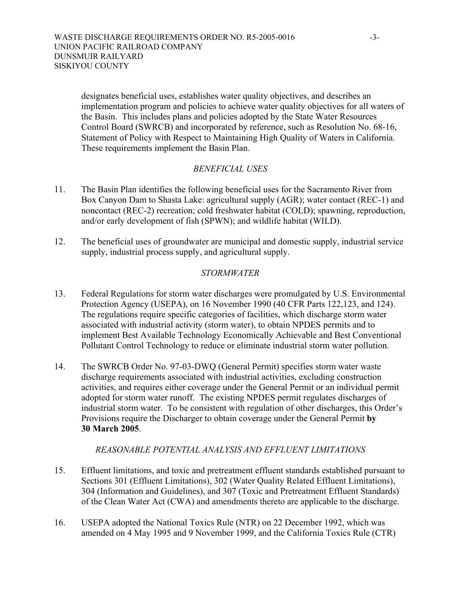designates beneficial uses, establishes water quality objectives, and describes an implementation program and policies to achieve water quality objectives for all waters of the Basin. This includes plans and policies adopted by the State Water Resources Control Board (SWRCB) and incorporated by reference, such as Resolution No. 68-16, Statement of Policy with Respect to Maintaining High Quality of Waters in California. These requirements implement the Basin Plan.

## *BENEFICIAL USES*

- 11. The Basin Plan identifies the following beneficial uses for the Sacramento River from Box Canyon Dam to Shasta Lake: agricultural supply (AGR); water contact (REC-1) and noncontact (REC-2) recreation; cold freshwater habitat (COLD); spawning, reproduction, and/or early development of fish (SPWN); and wildlife habitat (WILD).
- 12. The beneficial uses of groundwater are municipal and domestic supply, industrial service supply, industrial process supply, and agricultural supply.

## *STORMWATER*

- 13. Federal Regulations for storm water discharges were promulgated by U.S. Environmental Protection Agency (USEPA), on 16 November 1990 (40 CFR Parts 122,123, and 124). The regulations require specific categories of facilities, which discharge storm water associated with industrial activity (storm water), to obtain NPDES permits and to implement Best Available Technology Economically Achievable and Best Conventional Pollutant Control Technology to reduce or eliminate industrial storm water pollution.
- 14. The SWRCB Order No. 97-03-DWQ (General Permit) specifies storm water waste discharge requirements associated with industrial activities, excluding construction activities, and requires either coverage under the General Permit or an individual permit adopted for storm water runoff. The existing NPDES permit regulates discharges of industrial storm water. To be consistent with regulation of other discharges, this Order's Provisions require the Discharger to obtain coverage under the General Permit **by 30 March 2005**.

## *REASONABLE POTENTIAL ANALYSIS AND EFFLUENT LIMITATIONS*

- 15. Effluent limitations, and toxic and pretreatment effluent standards established pursuant to Sections 301 (Effluent Limitations), 302 (Water Quality Related Effluent Limitations), 304 (Information and Guidelines), and 307 (Toxic and Pretreatment Effluent Standards) of the Clean Water Act (CWA) and amendments thereto are applicable to the discharge.
- 16. USEPA adopted the National Toxics Rule (NTR) on 22 December 1992, which was amended on 4 May 1995 and 9 November 1999, and the California Toxics Rule (CTR)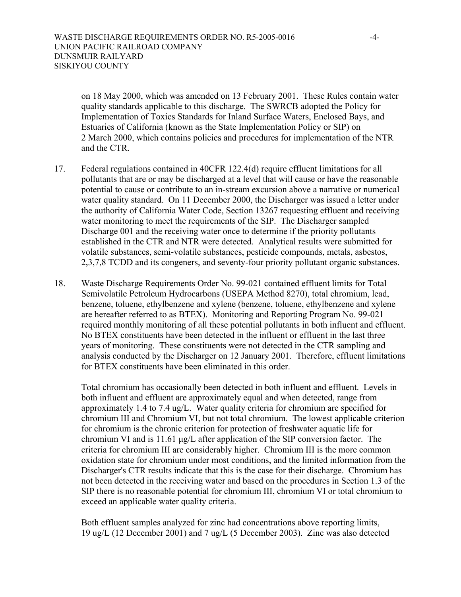on 18 May 2000, which was amended on 13 February 2001. These Rules contain water quality standards applicable to this discharge. The SWRCB adopted the Policy for Implementation of Toxics Standards for Inland Surface Waters, Enclosed Bays, and Estuaries of California (known as the State Implementation Policy or SIP) on 2 March 2000, which contains policies and procedures for implementation of the NTR and the CTR.

- 17. Federal regulations contained in 40CFR 122.4(d) require effluent limitations for all pollutants that are or may be discharged at a level that will cause or have the reasonable potential to cause or contribute to an in-stream excursion above a narrative or numerical water quality standard. On 11 December 2000, the Discharger was issued a letter under the authority of California Water Code, Section 13267 requesting effluent and receiving water monitoring to meet the requirements of the SIP. The Discharger sampled Discharge 001 and the receiving water once to determine if the priority pollutants established in the CTR and NTR were detected. Analytical results were submitted for volatile substances, semi-volatile substances, pesticide compounds, metals, asbestos, 2,3,7,8 TCDD and its congeners, and seventy-four priority pollutant organic substances.
- 18. Waste Discharge Requirements Order No. 99-021 contained effluent limits for Total Semivolatile Petroleum Hydrocarbons (USEPA Method 8270), total chromium, lead, benzene, toluene, ethylbenzene and xylene (benzene, toluene, ethylbenzene and xylene are hereafter referred to as BTEX). Monitoring and Reporting Program No. 99-021 required monthly monitoring of all these potential pollutants in both influent and effluent. No BTEX constituents have been detected in the influent or effluent in the last three years of monitoring. These constituents were not detected in the CTR sampling and analysis conducted by the Discharger on 12 January 2001. Therefore, effluent limitations for BTEX constituents have been eliminated in this order.

Total chromium has occasionally been detected in both influent and effluent. Levels in both influent and effluent are approximately equal and when detected, range from approximately 1.4 to 7.4 ug/L. Water quality criteria for chromium are specified for chromium III and Chromium VI, but not total chromium. The lowest applicable criterion for chromium is the chronic criterion for protection of freshwater aquatic life for chromium VI and is 11.61 µg/L after application of the SIP conversion factor. The criteria for chromium III are considerably higher. Chromium III is the more common oxidation state for chromium under most conditions, and the limited information from the Discharger's CTR results indicate that this is the case for their discharge. Chromium has not been detected in the receiving water and based on the procedures in Section 1.3 of the SIP there is no reasonable potential for chromium III, chromium VI or total chromium to exceed an applicable water quality criteria.

Both effluent samples analyzed for zinc had concentrations above reporting limits, 19 ug/L (12 December 2001) and 7 ug/L (5 December 2003). Zinc was also detected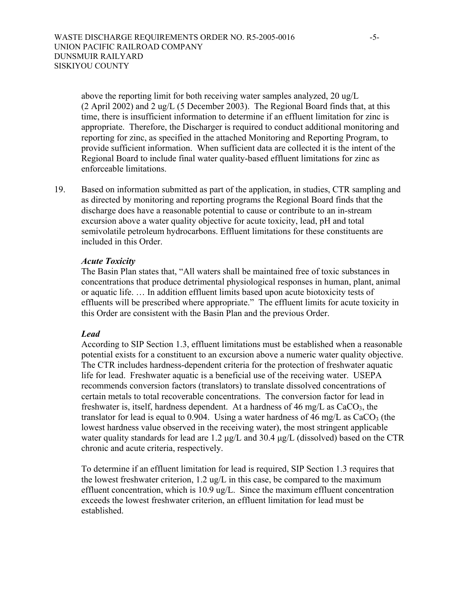above the reporting limit for both receiving water samples analyzed, 20 ug/L (2 April 2002) and 2 ug/L (5 December 2003). The Regional Board finds that, at this time, there is insufficient information to determine if an effluent limitation for zinc is appropriate. Therefore, the Discharger is required to conduct additional monitoring and reporting for zinc, as specified in the attached Monitoring and Reporting Program, to provide sufficient information. When sufficient data are collected it is the intent of the Regional Board to include final water quality-based effluent limitations for zinc as enforceable limitations.

19. Based on information submitted as part of the application, in studies, CTR sampling and as directed by monitoring and reporting programs the Regional Board finds that the discharge does have a reasonable potential to cause or contribute to an in-stream excursion above a water quality objective for acute toxicity, lead, pH and total semivolatile petroleum hydrocarbons. Effluent limitations for these constituents are included in this Order.

#### *Acute Toxicity*

The Basin Plan states that, "All waters shall be maintained free of toxic substances in concentrations that produce detrimental physiological responses in human, plant, animal or aquatic life. … In addition effluent limits based upon acute biotoxicity tests of effluents will be prescribed where appropriate." The effluent limits for acute toxicity in this Order are consistent with the Basin Plan and the previous Order.

## *Lead*

According to SIP Section 1.3, effluent limitations must be established when a reasonable potential exists for a constituent to an excursion above a numeric water quality objective. The CTR includes hardness-dependent criteria for the protection of freshwater aquatic life for lead. Freshwater aquatic is a beneficial use of the receiving water. USEPA recommends conversion factors (translators) to translate dissolved concentrations of certain metals to total recoverable concentrations. The conversion factor for lead in freshwater is, itself, hardness dependent. At a hardness of 46 mg/L as  $CaCO<sub>3</sub>$ , the translator for lead is equal to 0.904. Using a water hardness of 46 mg/L as  $CaCO<sub>3</sub>$  (the lowest hardness value observed in the receiving water), the most stringent applicable water quality standards for lead are 1.2  $\mu$ g/L and 30.4  $\mu$ g/L (dissolved) based on the CTR chronic and acute criteria, respectively.

To determine if an effluent limitation for lead is required, SIP Section 1.3 requires that the lowest freshwater criterion, 1.2 ug/L in this case, be compared to the maximum effluent concentration, which is 10.9 ug/L. Since the maximum effluent concentration exceeds the lowest freshwater criterion, an effluent limitation for lead must be established.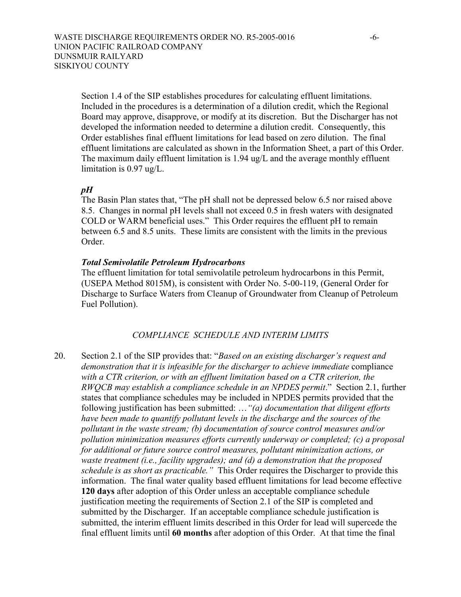Section 1.4 of the SIP establishes procedures for calculating effluent limitations. Included in the procedures is a determination of a dilution credit, which the Regional Board may approve, disapprove, or modify at its discretion. But the Discharger has not developed the information needed to determine a dilution credit. Consequently, this Order establishes final effluent limitations for lead based on zero dilution. The final effluent limitations are calculated as shown in the Information Sheet, a part of this Order. The maximum daily effluent limitation is 1.94 ug/L and the average monthly effluent limitation is 0.97 ug/L.

## *pH*

The Basin Plan states that, "The pH shall not be depressed below 6.5 nor raised above 8.5. Changes in normal pH levels shall not exceed 0.5 in fresh waters with designated COLD or WARM beneficial uses." This Order requires the effluent pH to remain between 6.5 and 8.5 units. These limits are consistent with the limits in the previous Order.

## *Total Semivolatile Petroleum Hydrocarbons*

The effluent limitation for total semivolatile petroleum hydrocarbons in this Permit, (USEPA Method 8015M), is consistent with Order No. 5-00-119, (General Order for Discharge to Surface Waters from Cleanup of Groundwater from Cleanup of Petroleum Fuel Pollution).

## *COMPLIANCE SCHEDULE AND INTERIM LIMITS*

20. Section 2.1 of the SIP provides that: "*Based on an existing discharger's request and demonstration that it is infeasible for the discharger to achieve immediate* compliance with a CTR criterion, or with an effluent limitation based on a CTR criterion, the *RWQCB may establish a compliance schedule in an NPDES permit*." Section 2.1, further states that compliance schedules may be included in NPDES permits provided that the following justification has been submitted: …*"(a) documentation that diligent efforts have been made to quantify pollutant levels in the discharge and the sources of the pollutant in the waste stream; (b) documentation of source control measures and/or pollution minimization measures efforts currently underway or completed; (c) a proposal for additional or future source control measures, pollutant minimization actions, or waste treatment (i.e., facility upgrades); and (d) a demonstration that the proposed schedule is as short as practicable."* This Order requires the Discharger to provide this information. The final water quality based effluent limitations for lead become effective **120 days** after adoption of this Order unless an acceptable compliance schedule justification meeting the requirements of Section 2.1 of the SIP is completed and submitted by the Discharger. If an acceptable compliance schedule justification is submitted, the interim effluent limits described in this Order for lead will supercede the final effluent limits until **60 months** after adoption of this Order. At that time the final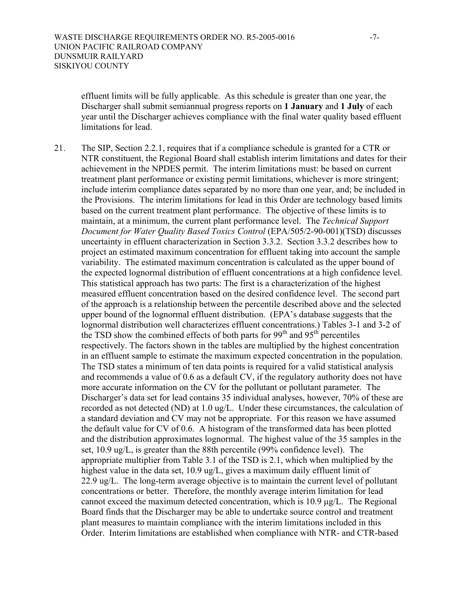effluent limits will be fully applicable. As this schedule is greater than one year, the Discharger shall submit semiannual progress reports on **1 January** and **1 July** of each year until the Discharger achieves compliance with the final water quality based effluent limitations for lead.

21. The SIP, Section 2.2.1, requires that if a compliance schedule is granted for a CTR or NTR constituent, the Regional Board shall establish interim limitations and dates for their achievement in the NPDES permit. The interim limitations must: be based on current treatment plant performance or existing permit limitations, whichever is more stringent; include interim compliance dates separated by no more than one year, and; be included in the Provisions. The interim limitations for lead in this Order are technology based limits based on the current treatment plant performance. The objective of these limits is to maintain, at a minimum, the current plant performance level. The *Technical Support Document for Water Quality Based Toxics Control* (EPA/505/2-90-001)(TSD) discusses uncertainty in effluent characterization in Section 3.3.2. Section 3.3.2 describes how to project an estimated maximum concentration for effluent taking into account the sample variability. The estimated maximum concentration is calculated as the upper bound of the expected lognormal distribution of effluent concentrations at a high confidence level. This statistical approach has two parts: The first is a characterization of the highest measured effluent concentration based on the desired confidence level. The second part of the approach is a relationship between the percentile described above and the selected upper bound of the lognormal effluent distribution. (EPA's database suggests that the lognormal distribution well characterizes effluent concentrations.) Tables 3-1 and 3-2 of the TSD show the combined effects of both parts for  $99<sup>th</sup>$  and  $95<sup>th</sup>$  percentiles respectively. The factors shown in the tables are multiplied by the highest concentration in an effluent sample to estimate the maximum expected concentration in the population. The TSD states a minimum of ten data points is required for a valid statistical analysis and recommends a value of 0.6 as a default CV, if the regulatory authority does not have more accurate information on the CV for the pollutant or pollutant parameter. The Discharger's data set for lead contains 35 individual analyses, however, 70% of these are recorded as not detected (ND) at 1.0 ug/L. Under these circumstances, the calculation of a standard deviation and CV may not be appropriate. For this reason we have assumed the default value for CV of 0.6. A histogram of the transformed data has been plotted and the distribution approximates lognormal. The highest value of the 35 samples in the set, 10.9 ug/L, is greater than the 88th percentile (99% confidence level). The appropriate multiplier from Table 3.1 of the TSD is 2.1, which when multiplied by the highest value in the data set, 10.9 ug/L, gives a maximum daily effluent limit of 22.9 ug/L. The long-term average objective is to maintain the current level of pollutant concentrations or better. Therefore, the monthly average interim limitation for lead cannot exceed the maximum detected concentration, which is 10.9 µg/L. The Regional Board finds that the Discharger may be able to undertake source control and treatment plant measures to maintain compliance with the interim limitations included in this Order. Interim limitations are established when compliance with NTR*-* and CTR-based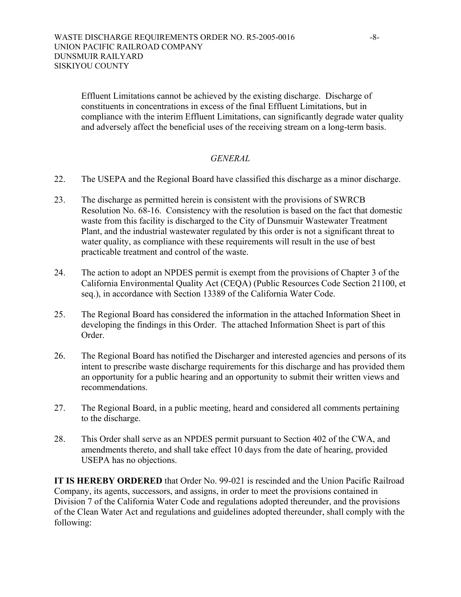Effluent Limitations cannot be achieved by the existing discharge. Discharge of constituents in concentrations in excess of the final Effluent Limitations, but in compliance with the interim Effluent Limitations, can significantly degrade water quality and adversely affect the beneficial uses of the receiving stream on a long-term basis.

## *GENERAL*

- 22. The USEPA and the Regional Board have classified this discharge as a minor discharge.
- 23. The discharge as permitted herein is consistent with the provisions of SWRCB Resolution No. 68-16. Consistency with the resolution is based on the fact that domestic waste from this facility is discharged to the City of Dunsmuir Wastewater Treatment Plant, and the industrial wastewater regulated by this order is not a significant threat to water quality, as compliance with these requirements will result in the use of best practicable treatment and control of the waste.
- 24. The action to adopt an NPDES permit is exempt from the provisions of Chapter 3 of the California Environmental Quality Act (CEQA) (Public Resources Code Section 21100, et seq.), in accordance with Section 13389 of the California Water Code.
- 25. The Regional Board has considered the information in the attached Information Sheet in developing the findings in this Order. The attached Information Sheet is part of this Order.
- 26. The Regional Board has notified the Discharger and interested agencies and persons of its intent to prescribe waste discharge requirements for this discharge and has provided them an opportunity for a public hearing and an opportunity to submit their written views and recommendations.
- 27. The Regional Board, in a public meeting, heard and considered all comments pertaining to the discharge.
- 28. This Order shall serve as an NPDES permit pursuant to Section 402 of the CWA, and amendments thereto, and shall take effect 10 days from the date of hearing, provided USEPA has no objections.

**IT IS HEREBY ORDERED** that Order No. 99-021 is rescinded and the Union Pacific Railroad Company, its agents, successors, and assigns, in order to meet the provisions contained in Division 7 of the California Water Code and regulations adopted thereunder, and the provisions of the Clean Water Act and regulations and guidelines adopted thereunder, shall comply with the following: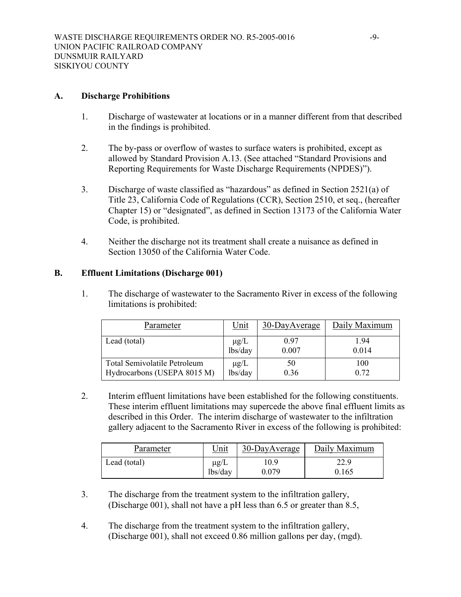## **A. Discharge Prohibitions**

- 1. Discharge of wastewater at locations or in a manner different from that described in the findings is prohibited.
- 2. The by-pass or overflow of wastes to surface waters is prohibited, except as allowed by Standard Provision A.13. (See attached "Standard Provisions and Reporting Requirements for Waste Discharge Requirements (NPDES)").
- 3. Discharge of waste classified as "hazardous" as defined in Section 2521(a) of Title 23, California Code of Regulations (CCR), Section 2510, et seq., (hereafter Chapter 15) or "designated", as defined in Section 13173 of the California Water Code, is prohibited.
- 4. Neither the discharge not its treatment shall create a nuisance as defined in Section 13050 of the California Water Code.

## **B. Effluent Limitations (Discharge 001)**

1. The discharge of wastewater to the Sacramento River in excess of the following limitations is prohibited:

| Parameter                           | <u>Unit</u> | 30-DayAverage | Daily Maximum |
|-------------------------------------|-------------|---------------|---------------|
| Lead (total)                        | $\mu$ g/L   | 0.97          | 1.94          |
|                                     | lbs/day     | 0.007         | 0.014         |
| <b>Total Semivolatile Petroleum</b> | $\mu$ g/L   | 50            | 100           |
| Hydrocarbons (USEPA 8015 M)         | lbs/day     | 0.36          | 0.72          |

2. Interim effluent limitations have been established for the following constituents. These interim effluent limitations may supercede the above final effluent limits as described in this Order. The interim discharge of wastewater to the infiltration gallery adjacent to the Sacramento River in excess of the following is prohibited:

| Parameter    | Unit      | 30-DayAverage | Daily Maximum |
|--------------|-----------|---------------|---------------|
| Lead (total) | $\mu$ g/L | .0.9          | 22.9          |
|              | lbs/day   | 0.079         | 0.165         |

- 3. The discharge from the treatment system to the infiltration gallery, (Discharge 001), shall not have a pH less than 6.5 or greater than 8.5,
- 4. The discharge from the treatment system to the infiltration gallery, (Discharge 001), shall not exceed 0.86 million gallons per day, (mgd).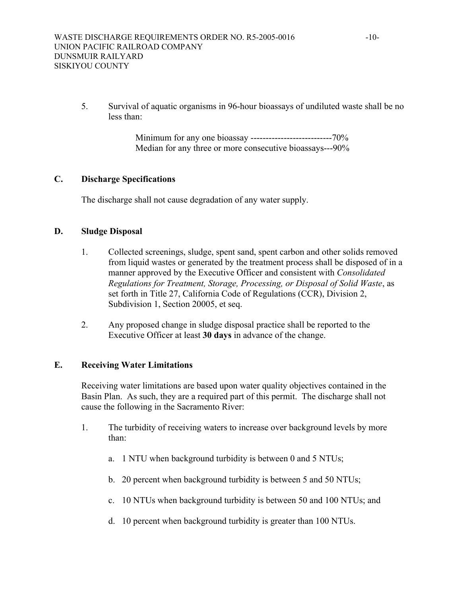5. Survival of aquatic organisms in 96-hour bioassays of undiluted waste shall be no less than:

> Minimum for any one bioassay ---------------------------70% Median for any three or more consecutive bioassays---90%

# **C. Discharge Specifications**

The discharge shall not cause degradation of any water supply.

#### **D. Sludge Disposal**

- 1. Collected screenings, sludge, spent sand, spent carbon and other solids removed from liquid wastes or generated by the treatment process shall be disposed of in a manner approved by the Executive Officer and consistent with *Consolidated Regulations for Treatment, Storage, Processing, or Disposal of Solid Waste*, as set forth in Title 27, California Code of Regulations (CCR), Division 2, Subdivision 1, Section 20005, et seq.
- 2. Any proposed change in sludge disposal practice shall be reported to the Executive Officer at least **30 days** in advance of the change.

## **E. Receiving Water Limitations**

Receiving water limitations are based upon water quality objectives contained in the Basin Plan. As such, they are a required part of this permit. The discharge shall not cause the following in the Sacramento River:

- 1. The turbidity of receiving waters to increase over background levels by more than:
	- a. 1 NTU when background turbidity is between 0 and 5 NTUs;
	- b. 20 percent when background turbidity is between 5 and 50 NTUs;
	- c. 10 NTUs when background turbidity is between 50 and 100 NTUs; and
	- d. 10 percent when background turbidity is greater than 100 NTUs.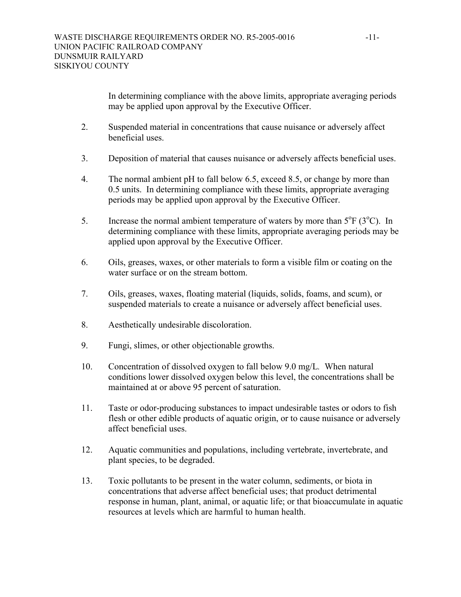In determining compliance with the above limits, appropriate averaging periods may be applied upon approval by the Executive Officer.

- 2. Suspended material in concentrations that cause nuisance or adversely affect beneficial uses.
- 3. Deposition of material that causes nuisance or adversely affects beneficial uses.
- 4. The normal ambient pH to fall below 6.5, exceed 8.5, or change by more than 0.5 units. In determining compliance with these limits, appropriate averaging periods may be applied upon approval by the Executive Officer.
- 5. Increase the normal ambient temperature of waters by more than  $5^{\circ}F(3^{\circ}C)$ . In determining compliance with these limits, appropriate averaging periods may be applied upon approval by the Executive Officer.
- 6. Oils, greases, waxes, or other materials to form a visible film or coating on the water surface or on the stream bottom.
- 7. Oils, greases, waxes, floating material (liquids, solids, foams, and scum), or suspended materials to create a nuisance or adversely affect beneficial uses.
- 8. Aesthetically undesirable discoloration.
- 9. Fungi, slimes, or other objectionable growths.
- 10. Concentration of dissolved oxygen to fall below 9.0 mg/L*.* When natural conditions lower dissolved oxygen below this level, the concentrations shall be maintained at or above 95 percent of saturation.
- 11. Taste or odor-producing substances to impact undesirable tastes or odors to fish flesh or other edible products of aquatic origin, or to cause nuisance or adversely affect beneficial uses.
- 12. Aquatic communities and populations, including vertebrate, invertebrate, and plant species, to be degraded.
- 13. Toxic pollutants to be present in the water column, sediments, or biota in concentrations that adverse affect beneficial uses; that product detrimental response in human, plant, animal, or aquatic life; or that bioaccumulate in aquatic resources at levels which are harmful to human health.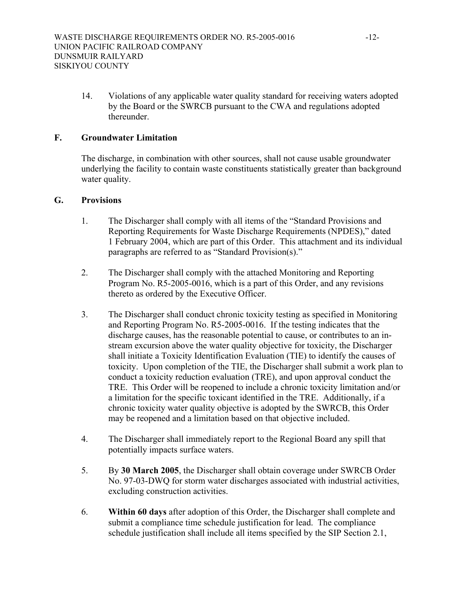14. Violations of any applicable water quality standard for receiving waters adopted by the Board or the SWRCB pursuant to the CWA and regulations adopted thereunder.

## **F. Groundwater Limitation**

The discharge, in combination with other sources, shall not cause usable groundwater underlying the facility to contain waste constituents statistically greater than background water quality.

## **G. Provisions**

- 1. The Discharger shall comply with all items of the "Standard Provisions and Reporting Requirements for Waste Discharge Requirements (NPDES)," dated 1 February 2004, which are part of this Order. This attachment and its individual paragraphs are referred to as "Standard Provision(s)."
- 2. The Discharger shall comply with the attached Monitoring and Reporting Program No. R5-2005-0016, which is a part of this Order, and any revisions thereto as ordered by the Executive Officer.
- 3. The Discharger shall conduct chronic toxicity testing as specified in Monitoring and Reporting Program No. R5-2005-0016. If the testing indicates that the discharge causes, has the reasonable potential to cause, or contributes to an instream excursion above the water quality objective for toxicity, the Discharger shall initiate a Toxicity Identification Evaluation (TIE) to identify the causes of toxicity. Upon completion of the TIE, the Discharger shall submit a work plan to conduct a toxicity reduction evaluation (TRE), and upon approval conduct the TRE. This Order will be reopened to include a chronic toxicity limitation and/or a limitation for the specific toxicant identified in the TRE. Additionally, if a chronic toxicity water quality objective is adopted by the SWRCB, this Order may be reopened and a limitation based on that objective included.
- 4. The Discharger shall immediately report to the Regional Board any spill that potentially impacts surface waters.
- 5. By **30 March 2005**, the Discharger shall obtain coverage under SWRCB Order No. 97-03-DWQ for storm water discharges associated with industrial activities, excluding construction activities.
- 6. **Within 60 days** after adoption of this Order, the Discharger shall complete and submit a compliance time schedule justification for lead. The compliance schedule justification shall include all items specified by the SIP Section 2.1,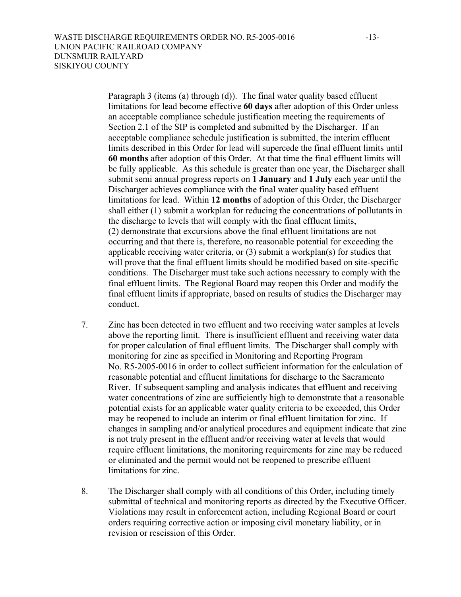Paragraph 3 (items (a) through (d)). The final water quality based effluent limitations for lead become effective **60 days** after adoption of this Order unless an acceptable compliance schedule justification meeting the requirements of Section 2.1 of the SIP is completed and submitted by the Discharger. If an acceptable compliance schedule justification is submitted, the interim effluent limits described in this Order for lead will supercede the final effluent limits until **60 months** after adoption of this Order. At that time the final effluent limits will be fully applicable. As this schedule is greater than one year, the Discharger shall submit semi annual progress reports on **1 January** and **1 July** each year until the Discharger achieves compliance with the final water quality based effluent limitations for lead. Within **12 months** of adoption of this Order, the Discharger shall either (1) submit a workplan for reducing the concentrations of pollutants in the discharge to levels that will comply with the final effluent limits, (2) demonstrate that excursions above the final effluent limitations are not occurring and that there is, therefore, no reasonable potential for exceeding the applicable receiving water criteria, or (3) submit a workplan(s) for studies that will prove that the final effluent limits should be modified based on site-specific conditions. The Discharger must take such actions necessary to comply with the final effluent limits. The Regional Board may reopen this Order and modify the final effluent limits if appropriate, based on results of studies the Discharger may conduct.

- 7. Zinc has been detected in two effluent and two receiving water samples at levels above the reporting limit. There is insufficient effluent and receiving water data for proper calculation of final effluent limits. The Discharger shall comply with monitoring for zinc as specified in Monitoring and Reporting Program No. R5-2005-0016 in order to collect sufficient information for the calculation of reasonable potential and effluent limitations for discharge to the Sacramento River. If subsequent sampling and analysis indicates that effluent and receiving water concentrations of zinc are sufficiently high to demonstrate that a reasonable potential exists for an applicable water quality criteria to be exceeded, this Order may be reopened to include an interim or final effluent limitation for zinc. If changes in sampling and/or analytical procedures and equipment indicate that zinc is not truly present in the effluent and/or receiving water at levels that would require effluent limitations, the monitoring requirements for zinc may be reduced or eliminated and the permit would not be reopened to prescribe effluent limitations for zinc.
- 8. The Discharger shall comply with all conditions of this Order, including timely submittal of technical and monitoring reports as directed by the Executive Officer. Violations may result in enforcement action, including Regional Board or court orders requiring corrective action or imposing civil monetary liability, or in revision or rescission of this Order.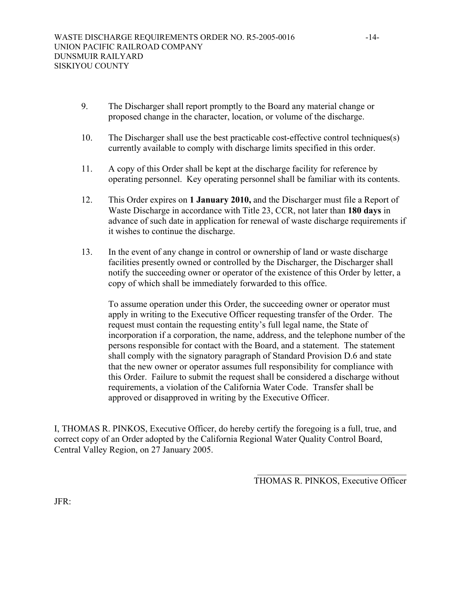- 9. The Discharger shall report promptly to the Board any material change or proposed change in the character, location, or volume of the discharge.
- 10. The Discharger shall use the best practicable cost-effective control techniques(s) currently available to comply with discharge limits specified in this order.
- 11. A copy of this Order shall be kept at the discharge facility for reference by operating personnel. Key operating personnel shall be familiar with its contents.
- 12. This Order expires on **1 January 2010,** and the Discharger must file a Report of Waste Discharge in accordance with Title 23, CCR, not later than **180 days** in advance of such date in application for renewal of waste discharge requirements if it wishes to continue the discharge.
- 13. In the event of any change in control or ownership of land or waste discharge facilities presently owned or controlled by the Discharger, the Discharger shall notify the succeeding owner or operator of the existence of this Order by letter, a copy of which shall be immediately forwarded to this office.

 To assume operation under this Order, the succeeding owner or operator must apply in writing to the Executive Officer requesting transfer of the Order. The request must contain the requesting entity's full legal name, the State of incorporation if a corporation, the name, address, and the telephone number of the persons responsible for contact with the Board, and a statement. The statement shall comply with the signatory paragraph of Standard Provision D.6 and state that the new owner or operator assumes full responsibility for compliance with this Order. Failure to submit the request shall be considered a discharge without requirements, a violation of the California Water Code. Transfer shall be approved or disapproved in writing by the Executive Officer.

I, THOMAS R. PINKOS, Executive Officer, do hereby certify the foregoing is a full, true, and correct copy of an Order adopted by the California Regional Water Quality Control Board, Central Valley Region, on 27 January 2005.

> $\mathcal{L}_\text{max}$ THOMAS R. PINKOS, Executive Officer

JFR: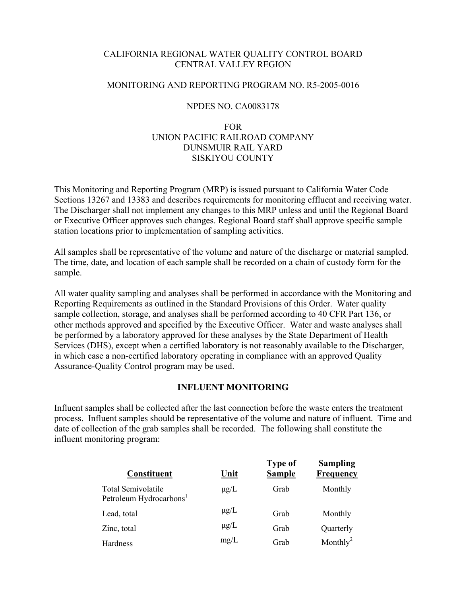## CALIFORNIA REGIONAL WATER QUALITY CONTROL BOARD CENTRAL VALLEY REGION

## MONITORING AND REPORTING PROGRAM NO. R5-2005-0016

## NPDES NO. CA0083178

## FOR UNION PACIFIC RAILROAD COMPANY DUNSMUIR RAIL YARD SISKIYOU COUNTY

This Monitoring and Reporting Program (MRP) is issued pursuant to California Water Code Sections 13267 and 13383 and describes requirements for monitoring effluent and receiving water. The Discharger shall not implement any changes to this MRP unless and until the Regional Board or Executive Officer approves such changes. Regional Board staff shall approve specific sample station locations prior to implementation of sampling activities.

All samples shall be representative of the volume and nature of the discharge or material sampled. The time, date, and location of each sample shall be recorded on a chain of custody form for the sample.

All water quality sampling and analyses shall be performed in accordance with the Monitoring and Reporting Requirements as outlined in the Standard Provisions of this Order. Water quality sample collection, storage, and analyses shall be performed according to 40 CFR Part 136, or other methods approved and specified by the Executive Officer. Water and waste analyses shall be performed by a laboratory approved for these analyses by the State Department of Health Services (DHS), except when a certified laboratory is not reasonably available to the Discharger, in which case a non-certified laboratory operating in compliance with an approved Quality Assurance-Quality Control program may be used.

## **INFLUENT MONITORING**

Influent samples shall be collected after the last connection before the waste enters the treatment process. Influent samples should be representative of the volume and nature of influent. Time and date of collection of the grab samples shall be recorded. The following shall constitute the influent monitoring program:

| <b>Constituent</b>                                        | Unit      | <b>Type of</b><br><b>Sample</b> | <b>Sampling</b><br>Frequency |
|-----------------------------------------------------------|-----------|---------------------------------|------------------------------|
| Total Semivolatile<br>Petroleum Hydrocarbons <sup>1</sup> | $\mu$ g/L | Grab                            | Monthly                      |
| Lead, total                                               | $\mu$ g/L | Grab                            | Monthly                      |
| Zinc, total                                               | $\mu$ g/L | Grab                            | Quarterly                    |
| Hardness                                                  | mg/L      | Grab                            | Monthly <sup>2</sup>         |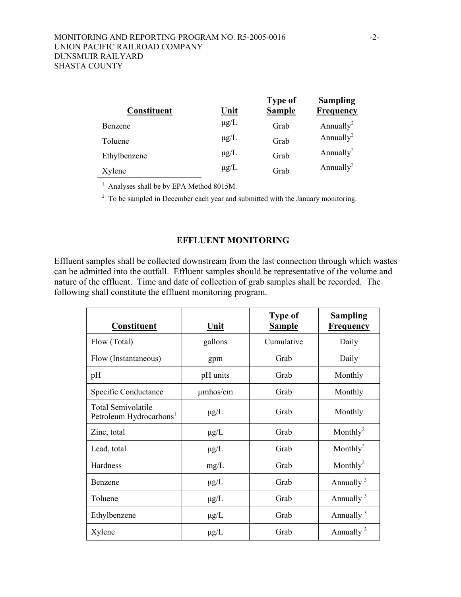| <b>Constituent</b> | <u>Unit</u> | <b>Type of</b><br><b>Sample</b> | <b>Sampling</b><br><b>Frequency</b> |
|--------------------|-------------|---------------------------------|-------------------------------------|
| Benzene            | $\mu$ g/L   | Grab                            | Annually <sup>2</sup>               |
| Toluene            | $\mu$ g/L   | Grab                            | Annually <sup>2</sup>               |
| Ethylbenzene       | $\mu$ g/L   | Grab                            | Annually <sup>2</sup>               |
| Xylene             | $\mu$ g/L   | Grab                            | Annually <sup>2</sup>               |

<sup>1</sup> Analyses shall be by EPA Method 8015M.

 $2^2$  To be sampled in December each year and submitted with the January monitoring.

### **EFFLUENT MONITORING**

Effluent samples shall be collected downstream from the last connection through which wastes can be admitted into the outfall. Effluent samples should be representative of the volume and nature of the effluent. Time and date of collection of grab samples shall be recorded. The following shall constitute the effluent monitoring program.

| <b>Constituent</b>                                               | Unit          | <b>Type of</b><br><b>Sample</b> | <b>Sampling</b><br><b>Frequency</b> |
|------------------------------------------------------------------|---------------|---------------------------------|-------------------------------------|
| Flow (Total)                                                     | gallons       | Cumulative                      | Daily                               |
| Flow (Instantaneous)                                             | gpm           | Grab                            | Daily                               |
| pH                                                               | pH units      | Grab                            | Monthly                             |
| Specific Conductance                                             | $\mu$ mhos/cm | Grab                            | Monthly                             |
| <b>Total Semivolatile</b><br>Petroleum Hydrocarbons <sup>1</sup> | $\mu$ g/L     | Grab                            | Monthly                             |
| Zinc, total                                                      | $\mu$ g/L     | Grab                            | Monthly <sup>2</sup>                |
| Lead, total                                                      | $\mu$ g/L     | Grab                            | Monthly <sup>2</sup>                |
| Hardness                                                         | mg/L          | Grab                            | Monthly <sup>2</sup>                |
| Benzene                                                          | $\mu$ g/L     | Grab                            | Annually $3$                        |
| Toluene                                                          | $\mu$ g/L     | Grab                            | Annually $3$                        |
| Ethylbenzene                                                     | $\mu$ g/L     | Grab                            | Annually $3$                        |
| Xylene                                                           | $\mu$ g/L     | Grab                            | Annually $3$                        |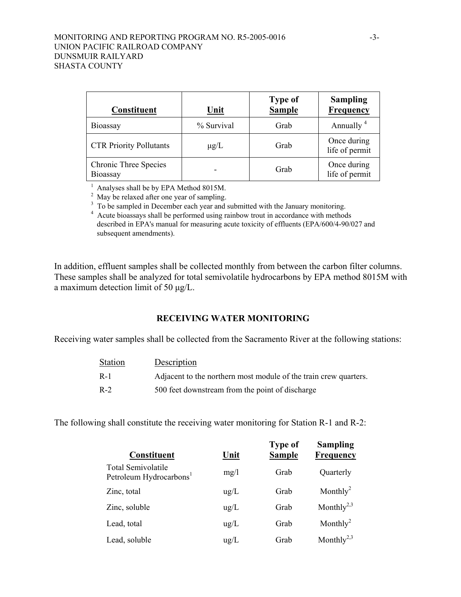### MONITORING AND REPORTING PROGRAM NO. R5-2005-0016 -3- UNION PACIFIC RAILROAD COMPANY DUNSMUIR RAILYARD SHASTA COUNTY

| <b>Constituent</b>                       | Unit       | <b>Type of</b><br><b>Sample</b> | <b>Sampling</b><br><b>Frequency</b> |
|------------------------------------------|------------|---------------------------------|-------------------------------------|
| Bioassay                                 | % Survival | Grab                            | Annually $4$                        |
| <b>CTR Priority Pollutants</b>           | $\mu$ g/L  | Grab                            | Once during<br>life of permit       |
| <b>Chronic Three Species</b><br>Bioassay |            | Grab                            | Once during<br>life of permit       |

<sup>1</sup> Analyses shall be by EPA Method 8015M.

 $2^2$  May be relaxed after one year of sampling.<br>
<sup>3</sup> To be sampled in December each year and submitted with the January monitoring.

<sup>4</sup> Acute bioassays shall be performed using rainbow trout in accordance with methods described in EPA's manual for measuring acute toxicity of effluents (EPA/600/4-90/027 and subsequent amendments).

In addition, effluent samples shall be collected monthly from between the carbon filter columns. These samples shall be analyzed for total semivolatile hydrocarbons by EPA method 8015M with a maximum detection limit of 50 µg/L.

#### **RECEIVING WATER MONITORING**

Receiving water samples shall be collected from the Sacramento River at the following stations:

| <b>Station</b> | Description                                                      |
|----------------|------------------------------------------------------------------|
| $R-1$          | Adjacent to the northern most module of the train crew quarters. |
| $R-2$          | 500 feet downstream from the point of discharge                  |

The following shall constitute the receiving water monitoring for Station R-1 and R-2:

| Constituent                                               | <u>Unit</u>   | <b>Type of</b><br><b>Sample</b> | <b>Sampling</b><br>Frequency |
|-----------------------------------------------------------|---------------|---------------------------------|------------------------------|
| Total Semivolatile<br>Petroleum Hydrocarbons <sup>1</sup> | mg/l          | Grab                            | Quarterly                    |
| Zinc, total                                               | $\mu$ g/L     | Grab                            | Monthly <sup>2</sup>         |
| Zinc, soluble                                             | $\text{ug/L}$ | Grab                            | Monthly <sup>2,3</sup>       |
| Lead, total                                               | $\text{ug/L}$ | Grab                            | Monthly <sup>2</sup>         |
| Lead, soluble                                             | $\text{ug/L}$ | Grab                            | Monthly <sup>2,3</sup>       |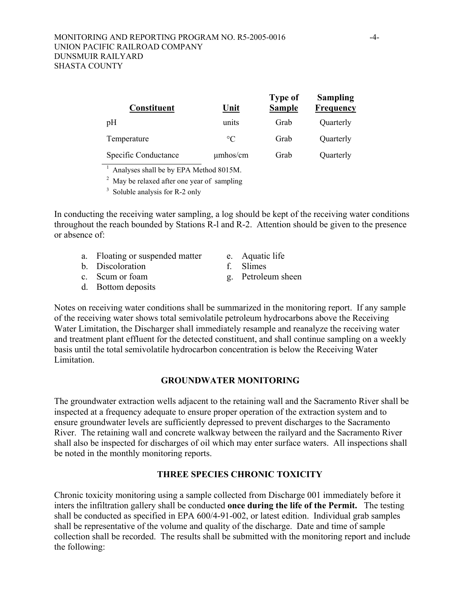| <b>Constituent</b>   | Unit            | <b>Type of</b><br><b>Sample</b> | <b>Sampling</b><br><b>Frequency</b> |
|----------------------|-----------------|---------------------------------|-------------------------------------|
| pH                   | units           | Grab                            | Quarterly                           |
| Temperature          | $\rm ^{\circ}C$ | Grab                            | Quarterly                           |
| Specific Conductance | $\mu$ mhos/cm   | Grab                            | Quarterly                           |

<sup>1</sup> Analyses shall be by EPA Method 8015M.

 $2$  May be relaxed after one year of sampling

<sup>3</sup> Soluble analysis for R-2 only

In conducting the receiving water sampling, a log should be kept of the receiving water conditions throughout the reach bounded by Stations R-l and R-2. Attention should be given to the presence or absence of:

- a. Floating or suspended matter e. Aquatic life
- b. Discoloration f. Slimes
- 
- d. Bottom deposits
- 
- 
- c. Scum or foam g. Petroleum sheen

Notes on receiving water conditions shall be summarized in the monitoring report. If any sample of the receiving water shows total semivolatile petroleum hydrocarbons above the Receiving Water Limitation, the Discharger shall immediately resample and reanalyze the receiving water and treatment plant effluent for the detected constituent, and shall continue sampling on a weekly basis until the total semivolatile hydrocarbon concentration is below the Receiving Water Limitation.

## **GROUNDWATER MONITORING**

The groundwater extraction wells adjacent to the retaining wall and the Sacramento River shall be inspected at a frequency adequate to ensure proper operation of the extraction system and to ensure groundwater levels are sufficiently depressed to prevent discharges to the Sacramento River. The retaining wall and concrete walkway between the railyard and the Sacramento River shall also be inspected for discharges of oil which may enter surface waters. All inspections shall be noted in the monthly monitoring reports.

## **THREE SPECIES CHRONIC TOXICITY**

Chronic toxicity monitoring using a sample collected from Discharge 001 immediately before it inters the infiltration gallery shall be conducted **once during the life of the Permit.** The testing shall be conducted as specified in EPA 600/4-91-002, or latest edition. Individual grab samples shall be representative of the volume and quality of the discharge. Date and time of sample collection shall be recorded. The results shall be submitted with the monitoring report and include the following: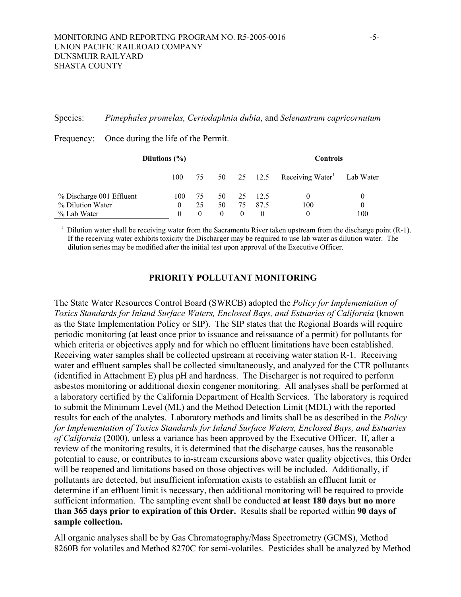#### Species: *Pimephales promelas, Ceriodaphnia dubia*, and *Selenastrum capricornutum*

| Dilutions $(\% )$               |          |    |          |    |      | <b>Controls</b> |           |
|---------------------------------|----------|----|----------|----|------|-----------------|-----------|
|                                 | 100      | 75 | 50       | 25 | 12.5 | Receiving Water | Lab Water |
| % Discharge 001 Effluent        | 100      | 75 | 50       | 25 | 12.5 | $_{0}$          | $_{0}$    |
| $%$ Dilution Water <sup>1</sup> | $\theta$ | 25 | 50       | 75 | 87.5 | 100             | $\theta$  |
| % Lab Water                     | $_{0}$   |    | $\theta$ |    |      | 0               | 100       |

Frequency: Once during the life of the Permit.

<sup>1</sup> Dilution water shall be receiving water from the Sacramento River taken upstream from the discharge point (R-1). If the receiving water exhibits toxicity the Discharger may be required to use lab water as dilution water. The dilution series may be modified after the initial test upon approval of the Executive Officer.

## **PRIORITY POLLUTANT MONITORING**

The State Water Resources Control Board (SWRCB) adopted the *Policy for Implementation of Toxics Standards for Inland Surface Waters, Enclosed Bays, and Estuaries of California* (known as the State Implementation Policy or SIP). The SIP states that the Regional Boards will require periodic monitoring (at least once prior to issuance and reissuance of a permit) for pollutants for which criteria or objectives apply and for which no effluent limitations have been established. Receiving water samples shall be collected upstream at receiving water station R-1. Receiving water and effluent samples shall be collected simultaneously, and analyzed for the CTR pollutants (identified in Attachment E) plus pH and hardness. The Discharger is not required to perform asbestos monitoring or additional dioxin congener monitoring. All analyses shall be performed at a laboratory certified by the California Department of Health Services. The laboratory is required to submit the Minimum Level (ML) and the Method Detection Limit (MDL) with the reported results for each of the analytes. Laboratory methods and limits shall be as described in the *Policy for Implementation of Toxics Standards for Inland Surface Waters, Enclosed Bays, and Estuaries of California* (2000), unless a variance has been approved by the Executive Officer. If, after a review of the monitoring results, it is determined that the discharge causes, has the reasonable potential to cause, or contributes to in-stream excursions above water quality objectives, this Order will be reopened and limitations based on those objectives will be included. Additionally, if pollutants are detected, but insufficient information exists to establish an effluent limit or determine if an effluent limit is necessary, then additional monitoring will be required to provide sufficient information. The sampling event shall be conducted **at least 180 days but no more than 365 days prior to expiration of this Order.** Results shall be reported within **90 days of sample collection.** 

All organic analyses shall be by Gas Chromatography/Mass Spectrometry (GCMS), Method 8260B for volatiles and Method 8270C for semi-volatiles. Pesticides shall be analyzed by Method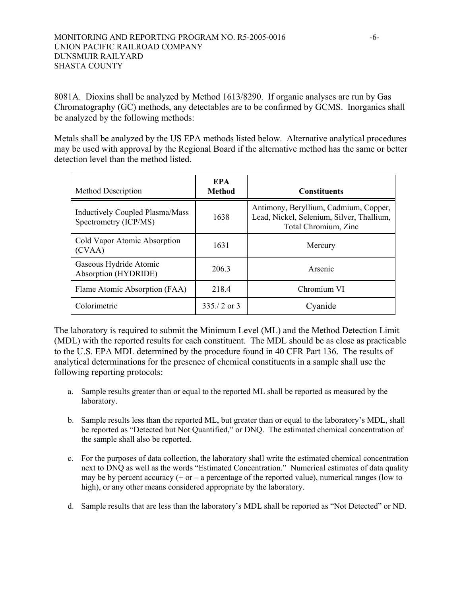8081A. Dioxins shall be analyzed by Method 1613/8290. If organic analyses are run by Gas Chromatography (GC) methods, any detectables are to be confirmed by GCMS. Inorganics shall be analyzed by the following methods:

Metals shall be analyzed by the US EPA methods listed below. Alternative analytical procedures may be used with approval by the Regional Board if the alternative method has the same or better detection level than the method listed.

| <b>Method Description</b>                                | <b>EPA</b><br><b>Method</b> | <b>Constituents</b>                                                                                        |
|----------------------------------------------------------|-----------------------------|------------------------------------------------------------------------------------------------------------|
| Inductively Coupled Plasma/Mass<br>Spectrometry (ICP/MS) | 1638                        | Antimony, Beryllium, Cadmium, Copper,<br>Lead, Nickel, Selenium, Silver, Thallium,<br>Total Chromium, Zinc |
| Cold Vapor Atomic Absorption<br>(CVAA)                   | 1631                        | Mercury                                                                                                    |
| Gaseous Hydride Atomic<br>Absorption (HYDRIDE)           | 206.3                       | Arsenic                                                                                                    |
| Flame Atomic Absorption (FAA)                            | 218.4                       | Chromium VI                                                                                                |
| Colorimetric                                             | $335/2$ or 3                | Cvanide                                                                                                    |

The laboratory is required to submit the Minimum Level (ML) and the Method Detection Limit (MDL) with the reported results for each constituent. The MDL should be as close as practicable to the U.S. EPA MDL determined by the procedure found in 40 CFR Part 136. The results of analytical determinations for the presence of chemical constituents in a sample shall use the following reporting protocols:

- a. Sample results greater than or equal to the reported ML shall be reported as measured by the laboratory.
- b. Sample results less than the reported ML, but greater than or equal to the laboratory's MDL, shall be reported as "Detected but Not Quantified," or DNQ. The estimated chemical concentration of the sample shall also be reported.
- c. For the purposes of data collection, the laboratory shall write the estimated chemical concentration next to DNQ as well as the words "Estimated Concentration." Numerical estimates of data quality may be by percent accuracy  $(+)$  or  $-$  a percentage of the reported value), numerical ranges (low to high), or any other means considered appropriate by the laboratory.
- d. Sample results that are less than the laboratory's MDL shall be reported as "Not Detected" or ND.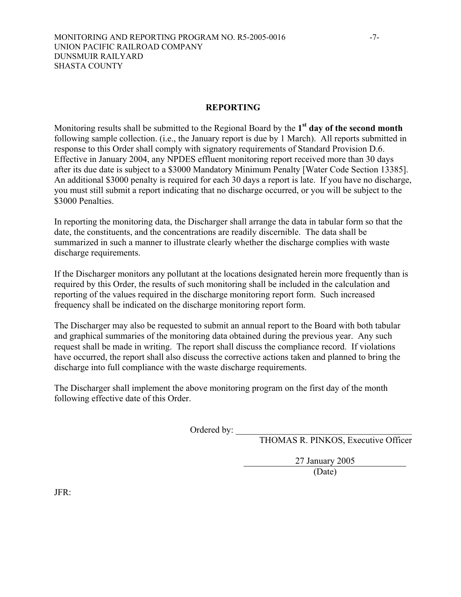Monitoring results shall be submitted to the Regional Board by the **1st day of the second month**  following sample collection. (i.e., the January report is due by 1 March). All reports submitted in response to this Order shall comply with signatory requirements of Standard Provision D.6. Effective in January 2004, any NPDES effluent monitoring report received more than 30 days after its due date is subject to a \$3000 Mandatory Minimum Penalty [Water Code Section 13385]. An additional \$3000 penalty is required for each 30 days a report is late. If you have no discharge, you must still submit a report indicating that no discharge occurred, or you will be subject to the \$3000 Penalties.

In reporting the monitoring data, the Discharger shall arrange the data in tabular form so that the date, the constituents, and the concentrations are readily discernible. The data shall be summarized in such a manner to illustrate clearly whether the discharge complies with waste discharge requirements.

If the Discharger monitors any pollutant at the locations designated herein more frequently than is required by this Order, the results of such monitoring shall be included in the calculation and reporting of the values required in the discharge monitoring report form. Such increased frequency shall be indicated on the discharge monitoring report form.

The Discharger may also be requested to submit an annual report to the Board with both tabular and graphical summaries of the monitoring data obtained during the previous year. Any such request shall be made in writing. The report shall discuss the compliance record. If violations have occurred, the report shall also discuss the corrective actions taken and planned to bring the discharge into full compliance with the waste discharge requirements.

The Discharger shall implement the above monitoring program on the first day of the month following effective date of this Order.

Ordered by:

THOMAS R. PINKOS, Executive Officer

27 January 2005

(Date)

JFR: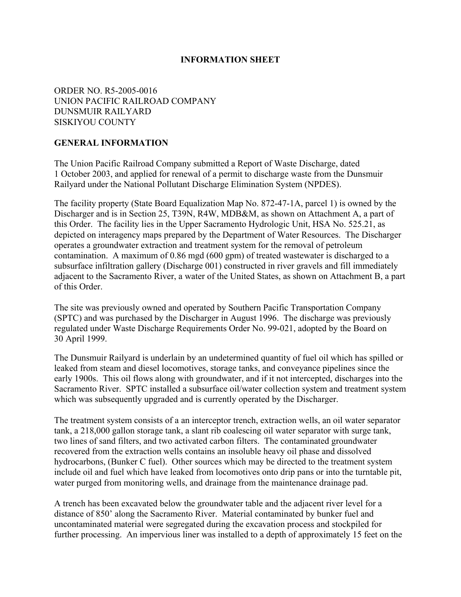## **INFORMATION SHEET**

## ORDER NO. R5-2005-0016 UNION PACIFIC RAILROAD COMPANY DUNSMUIR RAILYARD SISKIYOU COUNTY

## **GENERAL INFORMATION**

The Union Pacific Railroad Company submitted a Report of Waste Discharge, dated 1 October 2003, and applied for renewal of a permit to discharge waste from the Dunsmuir Railyard under the National Pollutant Discharge Elimination System (NPDES).

The facility property (State Board Equalization Map No. 872-47-1A, parcel 1) is owned by the Discharger and is in Section 25, T39N, R4W, MDB&M, as shown on Attachment A, a part of this Order. The facility lies in the Upper Sacramento Hydrologic Unit, HSA No. 525.21, as depicted on interagency maps prepared by the Department of Water Resources. The Discharger operates a groundwater extraction and treatment system for the removal of petroleum contamination. A maximum of 0.86 mgd (600 gpm) of treated wastewater is discharged to a subsurface infiltration gallery (Discharge 001) constructed in river gravels and fill immediately adjacent to the Sacramento River, a water of the United States, as shown on Attachment B, a part of this Order.

The site was previously owned and operated by Southern Pacific Transportation Company (SPTC) and was purchased by the Discharger in August 1996. The discharge was previously regulated under Waste Discharge Requirements Order No. 99-021, adopted by the Board on 30 April 1999.

The Dunsmuir Railyard is underlain by an undetermined quantity of fuel oil which has spilled or leaked from steam and diesel locomotives, storage tanks, and conveyance pipelines since the early 1900s. This oil flows along with groundwater, and if it not intercepted, discharges into the Sacramento River. SPTC installed a subsurface oil/water collection system and treatment system which was subsequently upgraded and is currently operated by the Discharger.

The treatment system consists of a an interceptor trench, extraction wells, an oil water separator tank, a 218,000 gallon storage tank, a slant rib coalescing oil water separator with surge tank, two lines of sand filters, and two activated carbon filters. The contaminated groundwater recovered from the extraction wells contains an insoluble heavy oil phase and dissolved hydrocarbons, (Bunker C fuel). Other sources which may be directed to the treatment system include oil and fuel which have leaked from locomotives onto drip pans or into the turntable pit, water purged from monitoring wells, and drainage from the maintenance drainage pad.

A trench has been excavated below the groundwater table and the adjacent river level for a distance of 850' along the Sacramento River. Material contaminated by bunker fuel and uncontaminated material were segregated during the excavation process and stockpiled for further processing. An impervious liner was installed to a depth of approximately 15 feet on the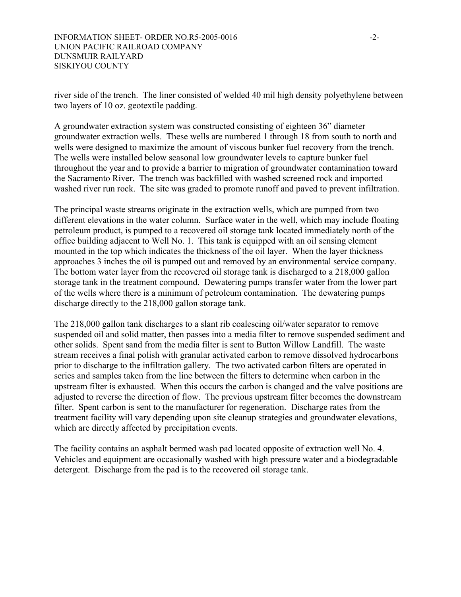river side of the trench. The liner consisted of welded 40 mil high density polyethylene between two layers of 10 oz. geotextile padding.

A groundwater extraction system was constructed consisting of eighteen 36" diameter groundwater extraction wells. These wells are numbered 1 through 18 from south to north and wells were designed to maximize the amount of viscous bunker fuel recovery from the trench. The wells were installed below seasonal low groundwater levels to capture bunker fuel throughout the year and to provide a barrier to migration of groundwater contamination toward the Sacramento River. The trench was backfilled with washed screened rock and imported washed river run rock. The site was graded to promote runoff and paved to prevent infiltration.

The principal waste streams originate in the extraction wells, which are pumped from two different elevations in the water column. Surface water in the well, which may include floating petroleum product, is pumped to a recovered oil storage tank located immediately north of the office building adjacent to Well No. 1. This tank is equipped with an oil sensing element mounted in the top which indicates the thickness of the oil layer. When the layer thickness approaches 3 inches the oil is pumped out and removed by an environmental service company. The bottom water layer from the recovered oil storage tank is discharged to a 218,000 gallon storage tank in the treatment compound. Dewatering pumps transfer water from the lower part of the wells where there is a minimum of petroleum contamination. The dewatering pumps discharge directly to the 218,000 gallon storage tank.

The 218,000 gallon tank discharges to a slant rib coalescing oil/water separator to remove suspended oil and solid matter, then passes into a media filter to remove suspended sediment and other solids. Spent sand from the media filter is sent to Button Willow Landfill. The waste stream receives a final polish with granular activated carbon to remove dissolved hydrocarbons prior to discharge to the infiltration gallery. The two activated carbon filters are operated in series and samples taken from the line between the filters to determine when carbon in the upstream filter is exhausted. When this occurs the carbon is changed and the valve positions are adjusted to reverse the direction of flow. The previous upstream filter becomes the downstream filter. Spent carbon is sent to the manufacturer for regeneration. Discharge rates from the treatment facility will vary depending upon site cleanup strategies and groundwater elevations, which are directly affected by precipitation events.

The facility contains an asphalt bermed wash pad located opposite of extraction well No. 4. Vehicles and equipment are occasionally washed with high pressure water and a biodegradable detergent. Discharge from the pad is to the recovered oil storage tank.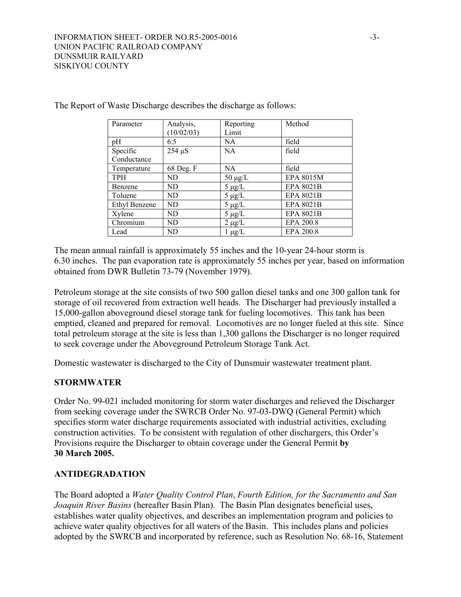| Parameter     | Analysis,<br>(10/02/03) | Reporting<br>Limit | Method           |
|---------------|-------------------------|--------------------|------------------|
| pH            | 6.5                     | NA                 | field            |
| Specific      | $254 \mu S$             | <b>NA</b>          | field            |
| Conductance   |                         |                    |                  |
| Temperature   | 68 Deg. F               | NA.                | field            |
| <b>TPH</b>    | ND                      | $50 \mu g/L$       | EPA 8015M        |
| Benzene       | ND                      | $5 \mu g/L$        | <b>EPA 8021B</b> |
| Toluene       | ND                      | $5 \mu g/L$        | <b>EPA 8021B</b> |
| Ethyl Benzene | ND                      | $5 \mu g/L$        | <b>EPA 8021B</b> |
| Xylene        | ND                      | $5 \mu g/L$        | <b>EPA 8021B</b> |
| Chromium      | ND                      | $2 \mu g/L$        | EPA 200.8        |
| Lead          | ND                      | $1 \mu g/L$        | EPA 200.8        |

The Report of Waste Discharge describes the discharge as follows:

The mean annual rainfall is approximately 55 inches and the 10-year 24-hour storm is 6.30 inches. The pan evaporation rate is approximately 55 inches per year, based on information obtained from DWR Bulletin 73-79 (November 1979).

Petroleum storage at the site consists of two 500 gallon diesel tanks and one 300 gallon tank for storage of oil recovered from extraction well heads. The Discharger had previously installed a 15,000-gallon aboveground diesel storage tank for fueling locomotives. This tank has been emptied, cleaned and prepared for removal. Locomotives are no longer fueled at this site. Since total petroleum storage at the site is less than 1,300 gallons the Discharger is no longer required to seek coverage under the Aboveground Petroleum Storage Tank Act.

Domestic wastewater is discharged to the City of Dunsmuir wastewater treatment plant.

## **STORMWATER**

Order No. 99-021 included monitoring for storm water discharges and relieved the Discharger from seeking coverage under the SWRCB Order No. 97-03-DWQ (General Permit) which specifies storm water discharge requirements associated with industrial activities, excluding construction activities. To be consistent with regulation of other dischargers, this Order's Provisions require the Discharger to obtain coverage under the General Permit **by 30 March 2005.**

## **ANTIDEGRADATION**

The Board adopted a *Water Quality Control Plan*, *Fourth Edition, for the Sacramento and San Joaquin River Basins* (hereafter Basin Plan). The Basin Plan designates beneficial uses, establishes water quality objectives, and describes an implementation program and policies to achieve water quality objectives for all waters of the Basin. This includes plans and policies adopted by the SWRCB and incorporated by reference, such as Resolution No. 68-16, Statement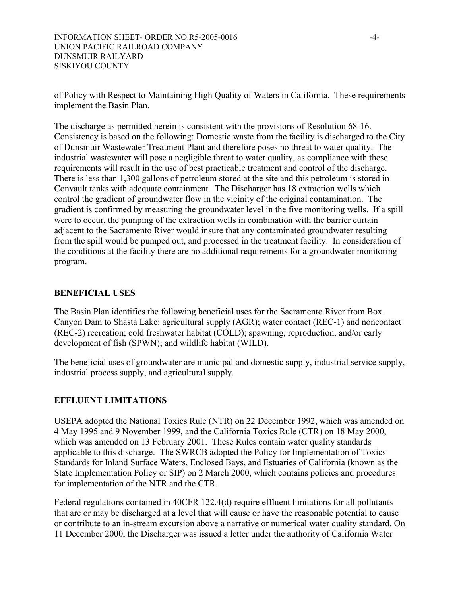of Policy with Respect to Maintaining High Quality of Waters in California. These requirements implement the Basin Plan.

The discharge as permitted herein is consistent with the provisions of Resolution 68-16. Consistency is based on the following: Domestic waste from the facility is discharged to the City of Dunsmuir Wastewater Treatment Plant and therefore poses no threat to water quality. The industrial wastewater will pose a negligible threat to water quality, as compliance with these requirements will result in the use of best practicable treatment and control of the discharge. There is less than 1,300 gallons of petroleum stored at the site and this petroleum is stored in Convault tanks with adequate containment. The Discharger has 18 extraction wells which control the gradient of groundwater flow in the vicinity of the original contamination. The gradient is confirmed by measuring the groundwater level in the five monitoring wells. If a spill were to occur, the pumping of the extraction wells in combination with the barrier curtain adjacent to the Sacramento River would insure that any contaminated groundwater resulting from the spill would be pumped out, and processed in the treatment facility. In consideration of the conditions at the facility there are no additional requirements for a groundwater monitoring program.

## **BENEFICIAL USES**

The Basin Plan identifies the following beneficial uses for the Sacramento River from Box Canyon Dam to Shasta Lake: agricultural supply (AGR); water contact (REC-1) and noncontact (REC-2) recreation; cold freshwater habitat (COLD); spawning, reproduction, and/or early development of fish (SPWN); and wildlife habitat (WILD).

The beneficial uses of groundwater are municipal and domestic supply, industrial service supply, industrial process supply, and agricultural supply.

## **EFFLUENT LIMITATIONS**

USEPA adopted the National Toxics Rule (NTR) on 22 December 1992, which was amended on 4 May 1995 and 9 November 1999, and the California Toxics Rule (CTR) on 18 May 2000, which was amended on 13 February 2001. These Rules contain water quality standards applicable to this discharge. The SWRCB adopted the Policy for Implementation of Toxics Standards for Inland Surface Waters, Enclosed Bays, and Estuaries of California (known as the State Implementation Policy or SIP) on 2 March 2000, which contains policies and procedures for implementation of the NTR and the CTR.

Federal regulations contained in 40CFR 122.4(d) require effluent limitations for all pollutants that are or may be discharged at a level that will cause or have the reasonable potential to cause or contribute to an in-stream excursion above a narrative or numerical water quality standard. On 11 December 2000, the Discharger was issued a letter under the authority of California Water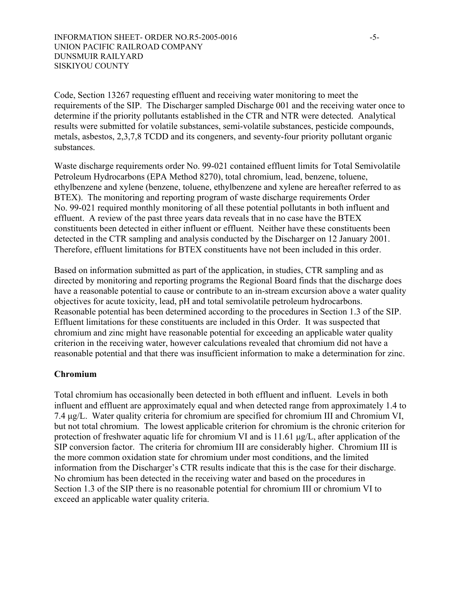Code, Section 13267 requesting effluent and receiving water monitoring to meet the requirements of the SIP. The Discharger sampled Discharge 001 and the receiving water once to determine if the priority pollutants established in the CTR and NTR were detected. Analytical results were submitted for volatile substances, semi-volatile substances, pesticide compounds, metals, asbestos, 2,3,7,8 TCDD and its congeners, and seventy-four priority pollutant organic substances.

Waste discharge requirements order No. 99-021 contained effluent limits for Total Semivolatile Petroleum Hydrocarbons (EPA Method 8270), total chromium, lead, benzene, toluene, ethylbenzene and xylene (benzene, toluene, ethylbenzene and xylene are hereafter referred to as BTEX). The monitoring and reporting program of waste discharge requirements Order No. 99-021 required monthly monitoring of all these potential pollutants in both influent and effluent. A review of the past three years data reveals that in no case have the BTEX constituents been detected in either influent or effluent. Neither have these constituents been detected in the CTR sampling and analysis conducted by the Discharger on 12 January 2001. Therefore, effluent limitations for BTEX constituents have not been included in this order.

Based on information submitted as part of the application, in studies, CTR sampling and as directed by monitoring and reporting programs the Regional Board finds that the discharge does have a reasonable potential to cause or contribute to an in-stream excursion above a water quality objectives for acute toxicity, lead, pH and total semivolatile petroleum hydrocarbons. Reasonable potential has been determined according to the procedures in Section 1.3 of the SIP. Effluent limitations for these constituents are included in this Order. It was suspected that chromium and zinc might have reasonable potential for exceeding an applicable water quality criterion in the receiving water, however calculations revealed that chromium did not have a reasonable potential and that there was insufficient information to make a determination for zinc.

## **Chromium**

Total chromium has occasionally been detected in both effluent and influent. Levels in both influent and effluent are approximately equal and when detected range from approximately 1.4 to 7.4 µg/L. Water quality criteria for chromium are specified for chromium III and Chromium VI, but not total chromium. The lowest applicable criterion for chromium is the chronic criterion for protection of freshwater aquatic life for chromium VI and is 11.61  $\mu$ g/L, after application of the SIP conversion factor. The criteria for chromium III are considerably higher. Chromium III is the more common oxidation state for chromium under most conditions, and the limited information from the Discharger's CTR results indicate that this is the case for their discharge. No chromium has been detected in the receiving water and based on the procedures in Section 1.3 of the SIP there is no reasonable potential for chromium III or chromium VI to exceed an applicable water quality criteria.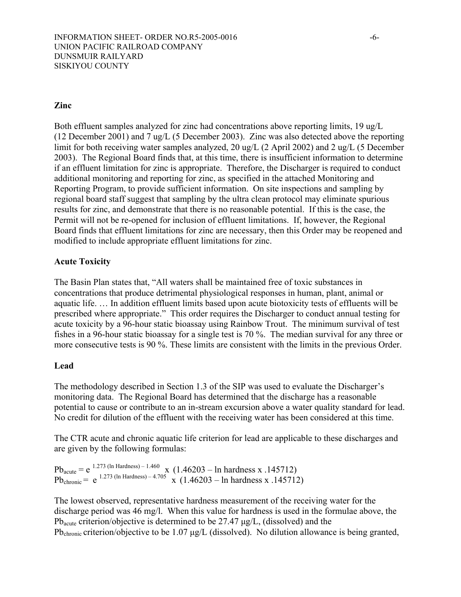## **Zinc**

Both effluent samples analyzed for zinc had concentrations above reporting limits, 19 ug/L (12 December 2001) and 7 ug/L (5 December 2003). Zinc was also detected above the reporting limit for both receiving water samples analyzed, 20 ug/L (2 April 2002) and 2 ug/L (5 December 2003). The Regional Board finds that, at this time, there is insufficient information to determine if an effluent limitation for zinc is appropriate. Therefore, the Discharger is required to conduct additional monitoring and reporting for zinc, as specified in the attached Monitoring and Reporting Program, to provide sufficient information. On site inspections and sampling by regional board staff suggest that sampling by the ultra clean protocol may eliminate spurious results for zinc, and demonstrate that there is no reasonable potential. If this is the case, the Permit will not be re-opened for inclusion of effluent limitations. If, however, the Regional Board finds that effluent limitations for zinc are necessary, then this Order may be reopened and modified to include appropriate effluent limitations for zinc.

## **Acute Toxicity**

The Basin Plan states that, "All waters shall be maintained free of toxic substances in concentrations that produce detrimental physiological responses in human, plant, animal or aquatic life. … In addition effluent limits based upon acute biotoxicity tests of effluents will be prescribed where appropriate." This order requires the Discharger to conduct annual testing for acute toxicity by a 96-hour static bioassay using Rainbow Trout. The minimum survival of test fishes in a 96-hour static bioassay for a single test is 70 %. The median survival for any three or more consecutive tests is 90 %. These limits are consistent with the limits in the previous Order.

#### **Lead**

The methodology described in Section 1.3 of the SIP was used to evaluate the Discharger's monitoring data. The Regional Board has determined that the discharge has a reasonable potential to cause or contribute to an in-stream excursion above a water quality standard for lead. No credit for dilution of the effluent with the receiving water has been considered at this time.

The CTR acute and chronic aquatic life criterion for lead are applicable to these discharges and are given by the following formulas:

 $Pb_{acute} = e^{-1.273 \text{ (In Hardness)} - 1.460}$  x (1.46203 – ln hardness x .145712)  $Pb_{\text{chronic}} = e^{-1.273 \text{ (ln Hardness)} - 4.705}$  x (1.46203 – ln hardness x .145712)

The lowest observed, representative hardness measurement of the receiving water for the discharge period was 46 mg/l. When this value for hardness is used in the formulae above, the Pbacute criterion/objective is determined to be 27.47 µg/L, (dissolved) and the Pb<sub>chronic</sub> criterion/objective to be 1.07 µg/L (dissolved). No dilution allowance is being granted,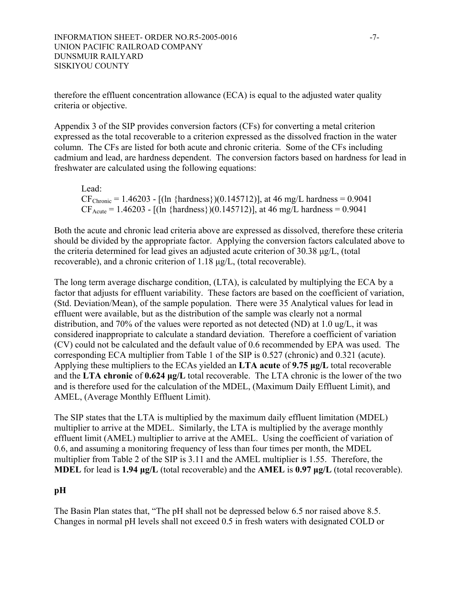therefore the effluent concentration allowance (ECA) is equal to the adjusted water quality criteria or objective.

Appendix 3 of the SIP provides conversion factors (CFs) for converting a metal criterion expressed as the total recoverable to a criterion expressed as the dissolved fraction in the water column. The CFs are listed for both acute and chronic criteria. Some of the CFs including cadmium and lead, are hardness dependent. The conversion factors based on hardness for lead in freshwater are calculated using the following equations:

Lead:  $CF_{Chronic} = 1.46203 - [(ln {hardness}) (0.145712)]$ , at 46 mg/L hardness = 0.9041  $CF_{\text{Acute}} = 1.46203 - [(ln {hardness}) (0.145712)],$  at 46 mg/L hardness = 0.9041

Both the acute and chronic lead criteria above are expressed as dissolved, therefore these criteria should be divided by the appropriate factor. Applying the conversion factors calculated above to the criteria determined for lead gives an adjusted acute criterion of 30.38 µg/L, (total recoverable), and a chronic criterion of 1.18 µg/L, (total recoverable).

The long term average discharge condition, (LTA), is calculated by multiplying the ECA by a factor that adjusts for effluent variability. These factors are based on the coefficient of variation, (Std. Deviation/Mean), of the sample population. There were 35 Analytical values for lead in effluent were available, but as the distribution of the sample was clearly not a normal distribution, and 70% of the values were reported as not detected (ND) at 1.0 ug/L, it was considered inappropriate to calculate a standard deviation. Therefore a coefficient of variation (CV) could not be calculated and the default value of 0.6 recommended by EPA was used. The corresponding ECA multiplier from Table 1 of the SIP is 0.527 (chronic) and 0.321 (acute). Applying these multipliers to the ECAs yielded an **LTA acute** of **9.75 µg/L** total recoverable and the **LTA chronic** of **0.624 µg/L** total recoverable. The LTA chronic is the lower of the two and is therefore used for the calculation of the MDEL, (Maximum Daily Effluent Limit), and AMEL, (Average Monthly Effluent Limit).

The SIP states that the LTA is multiplied by the maximum daily effluent limitation (MDEL) multiplier to arrive at the MDEL. Similarly, the LTA is multiplied by the average monthly effluent limit (AMEL) multiplier to arrive at the AMEL. Using the coefficient of variation of 0.6, and assuming a monitoring frequency of less than four times per month, the MDEL multiplier from Table 2 of the SIP is 3.11 and the AMEL multiplier is 1.55. Therefore, the **MDEL** for lead is **1.94 µg/L** (total recoverable) and the **AMEL** is **0.97 µg/L** (total recoverable).

## **pH**

The Basin Plan states that, "The pH shall not be depressed below 6.5 nor raised above 8.5. Changes in normal pH levels shall not exceed 0.5 in fresh waters with designated COLD or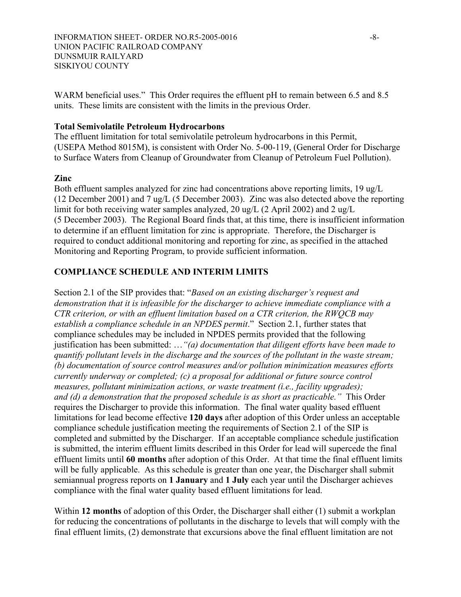WARM beneficial uses." This Order requires the effluent pH to remain between 6.5 and 8.5 units. These limits are consistent with the limits in the previous Order.

### **Total Semivolatile Petroleum Hydrocarbons**

The effluent limitation for total semivolatile petroleum hydrocarbons in this Permit, (USEPA Method 8015M), is consistent with Order No. 5-00-119, (General Order for Discharge to Surface Waters from Cleanup of Groundwater from Cleanup of Petroleum Fuel Pollution).

### **Zinc**

Both effluent samples analyzed for zinc had concentrations above reporting limits, 19 ug/L (12 December 2001) and 7 ug/L (5 December 2003). Zinc was also detected above the reporting limit for both receiving water samples analyzed, 20 ug/L (2 April 2002) and 2 ug/L (5 December 2003). The Regional Board finds that, at this time, there is insufficient information to determine if an effluent limitation for zinc is appropriate. Therefore, the Discharger is required to conduct additional monitoring and reporting for zinc, as specified in the attached Monitoring and Reporting Program, to provide sufficient information.

## **COMPLIANCE SCHEDULE AND INTERIM LIMITS**

Section 2.1 of the SIP provides that: "*Based on an existing discharger's request and demonstration that it is infeasible for the discharger to achieve immediate compliance with a CTR criterion, or with an effluent limitation based on a CTR criterion, the RWQCB may establish a compliance schedule in an NPDES permit*." Section 2.1, further states that compliance schedules may be included in NPDES permits provided that the following justification has been submitted: …*"(a) documentation that diligent efforts have been made to quantify pollutant levels in the discharge and the sources of the pollutant in the waste stream; (b) documentation of source control measures and/or pollution minimization measures efforts currently underway or completed; (c) a proposal for additional or future source control measures, pollutant minimization actions, or waste treatment (i.e., facility upgrades); and (d) a demonstration that the proposed schedule is as short as practicable."* This Order requires the Discharger to provide this information. The final water quality based effluent limitations for lead become effective **120 days** after adoption of this Order unless an acceptable compliance schedule justification meeting the requirements of Section 2.1 of the SIP is completed and submitted by the Discharger. If an acceptable compliance schedule justification is submitted, the interim effluent limits described in this Order for lead will supercede the final effluent limits until **60 months** after adoption of this Order. At that time the final effluent limits will be fully applicable. As this schedule is greater than one year, the Discharger shall submit semiannual progress reports on **1 January** and **1 July** each year until the Discharger achieves compliance with the final water quality based effluent limitations for lead.

Within **12 months** of adoption of this Order, the Discharger shall either (1) submit a workplan for reducing the concentrations of pollutants in the discharge to levels that will comply with the final effluent limits, (2) demonstrate that excursions above the final effluent limitation are not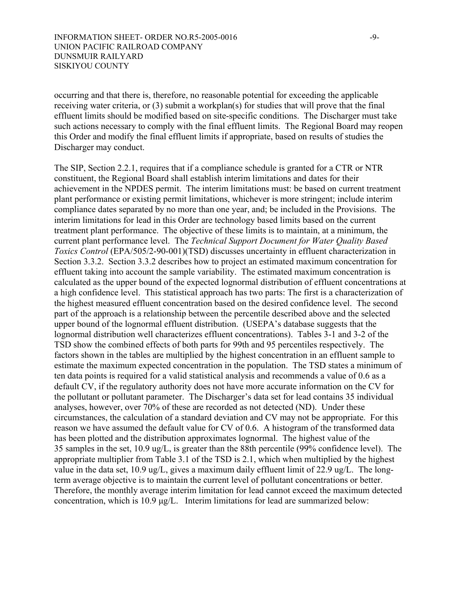occurring and that there is, therefore, no reasonable potential for exceeding the applicable receiving water criteria, or (3) submit a workplan(s) for studies that will prove that the final effluent limits should be modified based on site-specific conditions. The Discharger must take such actions necessary to comply with the final effluent limits. The Regional Board may reopen this Order and modify the final effluent limits if appropriate, based on results of studies the Discharger may conduct.

The SIP, Section 2.2.1, requires that if a compliance schedule is granted for a CTR or NTR constituent, the Regional Board shall establish interim limitations and dates for their achievement in the NPDES permit. The interim limitations must: be based on current treatment plant performance or existing permit limitations, whichever is more stringent; include interim compliance dates separated by no more than one year, and; be included in the Provisions. The interim limitations for lead in this Order are technology based limits based on the current treatment plant performance. The objective of these limits is to maintain, at a minimum, the current plant performance level. The *Technical Support Document for Water Quality Based Toxics Control* (EPA/505/2-90-001)(TSD) discusses uncertainty in effluent characterization in Section 3.3.2. Section 3.3.2 describes how to project an estimated maximum concentration for effluent taking into account the sample variability. The estimated maximum concentration is calculated as the upper bound of the expected lognormal distribution of effluent concentrations at a high confidence level. This statistical approach has two parts: The first is a characterization of the highest measured effluent concentration based on the desired confidence level. The second part of the approach is a relationship between the percentile described above and the selected upper bound of the lognormal effluent distribution. (USEPA's database suggests that the lognormal distribution well characterizes effluent concentrations). Tables 3-1 and 3-2 of the TSD show the combined effects of both parts for 99th and 95 percentiles respectively. The factors shown in the tables are multiplied by the highest concentration in an effluent sample to estimate the maximum expected concentration in the population. The TSD states a minimum of ten data points is required for a valid statistical analysis and recommends a value of 0.6 as a default CV, if the regulatory authority does not have more accurate information on the CV for the pollutant or pollutant parameter. The Discharger's data set for lead contains 35 individual analyses, however, over 70% of these are recorded as not detected (ND). Under these circumstances, the calculation of a standard deviation and CV may not be appropriate. For this reason we have assumed the default value for CV of 0.6. A histogram of the transformed data has been plotted and the distribution approximates lognormal. The highest value of the 35 samples in the set, 10.9 ug/L, is greater than the 88th percentile (99% confidence level). The appropriate multiplier from Table 3.1 of the TSD is 2.1, which when multiplied by the highest value in the data set, 10.9 ug/L, gives a maximum daily effluent limit of 22.9 ug/L. The longterm average objective is to maintain the current level of pollutant concentrations or better. Therefore, the monthly average interim limitation for lead cannot exceed the maximum detected concentration, which is 10.9 µg/L. Interim limitations for lead are summarized below: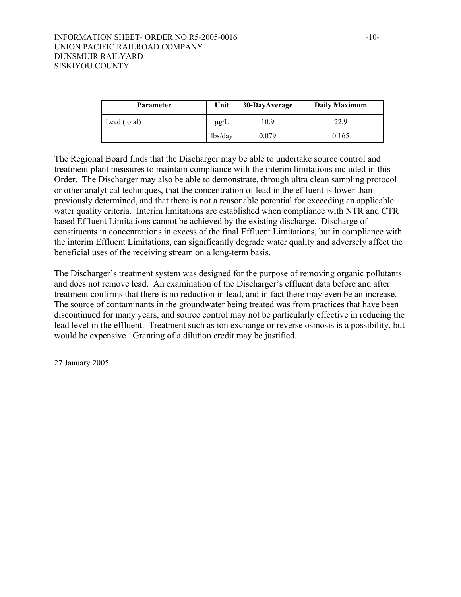| <b>Parameter</b> | <u>Unit</u> | 30-DayAverage | Daily Maximum |
|------------------|-------------|---------------|---------------|
| Lead (total)     | $\mu$ g/L   | 10.9          | 22.9          |
|                  | lbs/day     | 0.079         | 0.165         |

The Regional Board finds that the Discharger may be able to undertake source control and treatment plant measures to maintain compliance with the interim limitations included in this Order. The Discharger may also be able to demonstrate, through ultra clean sampling protocol or other analytical techniques, that the concentration of lead in the effluent is lower than previously determined, and that there is not a reasonable potential for exceeding an applicable water quality criteria. Interim limitations are established when compliance with NTR and CTR based Effluent Limitations cannot be achieved by the existing discharge. Discharge of constituents in concentrations in excess of the final Effluent Limitations, but in compliance with the interim Effluent Limitations, can significantly degrade water quality and adversely affect the beneficial uses of the receiving stream on a long-term basis.

The Discharger's treatment system was designed for the purpose of removing organic pollutants and does not remove lead. An examination of the Discharger's effluent data before and after treatment confirms that there is no reduction in lead, and in fact there may even be an increase. The source of contaminants in the groundwater being treated was from practices that have been discontinued for many years, and source control may not be particularly effective in reducing the lead level in the effluent. Treatment such as ion exchange or reverse osmosis is a possibility, but would be expensive. Granting of a dilution credit may be justified.

27 January 2005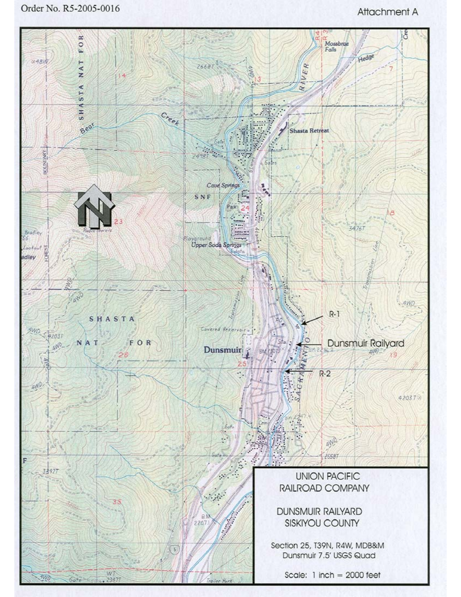Order No. R5-2005-0016

# Attachment A

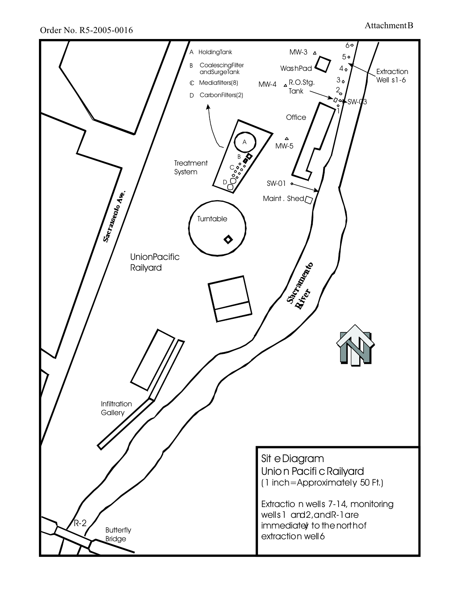Order No. R5-2005-0016 Attachment B